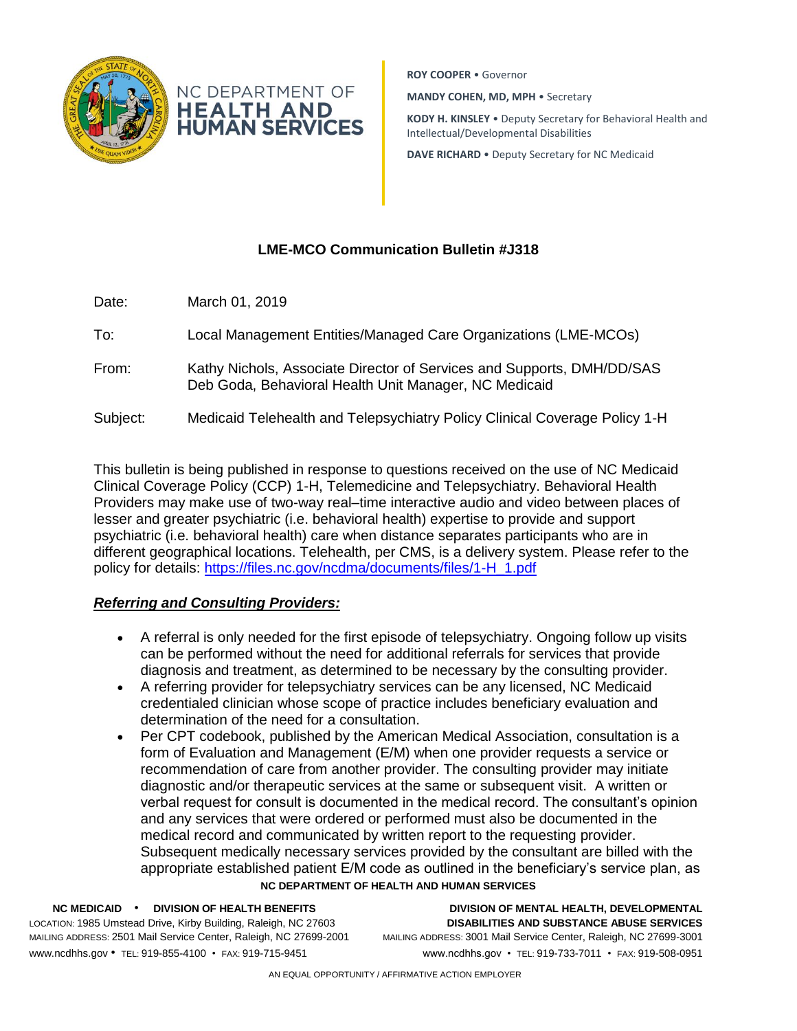

**ROY COOPER** • Governor

**MANDY COHEN, MD, MPH** • Secretary

**KODY H. KINSLEY** • Deputy Secretary for Behavioral Health and Intellectual/Developmental Disabilities

**DAVE RICHARD** • Deputy Secretary for NC Medicaid

# **LME-MCO Communication Bulletin #J318**

- Date: March 01, 2019
- To: Local Management Entities/Managed Care Organizations (LME-MCOs)
- From: Kathy Nichols, Associate Director of Services and Supports, DMH/DD/SAS Deb Goda, Behavioral Health Unit Manager, NC Medicaid
- Subject: Medicaid Telehealth and Telepsychiatry Policy Clinical Coverage Policy 1-H

This bulletin is being published in response to questions received on the use of NC Medicaid Clinical Coverage Policy (CCP) 1-H, Telemedicine and Telepsychiatry. Behavioral Health Providers may make use of two-way real–time interactive audio and video between places of lesser and greater psychiatric (i.e. behavioral health) expertise to provide and support psychiatric (i.e. behavioral health) care when distance separates participants who are in different geographical locations. Telehealth, per CMS, is a delivery system. Please refer to the policy for details: [https://files.nc.gov/ncdma/documents/files/1-H\\_1.pdf](https://files.nc.gov/ncdma/documents/files/1-H_1.pdf)

## *Referring and Consulting Providers:*

- A referral is only needed for the first episode of telepsychiatry. Ongoing follow up visits can be performed without the need for additional referrals for services that provide diagnosis and treatment, as determined to be necessary by the consulting provider.
- A referring provider for telepsychiatry services can be any licensed, NC Medicaid credentialed clinician whose scope of practice includes beneficiary evaluation and determination of the need for a consultation.
- Per CPT codebook, published by the American Medical Association, consultation is a form of Evaluation and Management (E/M) when one provider requests a service or recommendation of care from another provider. The consulting provider may initiate diagnostic and/or therapeutic services at the same or subsequent visit. A written or verbal request for consult is documented in the medical record. The consultant's opinion and any services that were ordered or performed must also be documented in the medical record and communicated by written report to the requesting provider. Subsequent medically necessary services provided by the consultant are billed with the appropriate established patient E/M code as outlined in the beneficiary's service plan, as

### **NC DEPARTMENT OF HEALTH AND HUMAN SERVICES**

MAILING ADDRESS: 2501 Mail Service Center, Raleigh, NC 27699-2001 MAILING ADDRESS: 3001 Mail Service Center, Raleigh, NC 27699-3001 www.ncdhhs.gov • TEL: 919-855-4100 • FAX: 919-715-9451 www.ncdhhs.gov • TEL: 919-733-7011 • FAX: 919-508-0951

**NC MEDICAID** • **DIVISION OF HEALTH BENEFITS DIVISION OF MENTAL HEALTH, DEVELOPMENTAL**  LOCATION: 1985 Umstead Drive, Kirby Building, Raleigh, NC 27603 **DISABILITIES AND SUBSTANCE ABUSE SERVICES**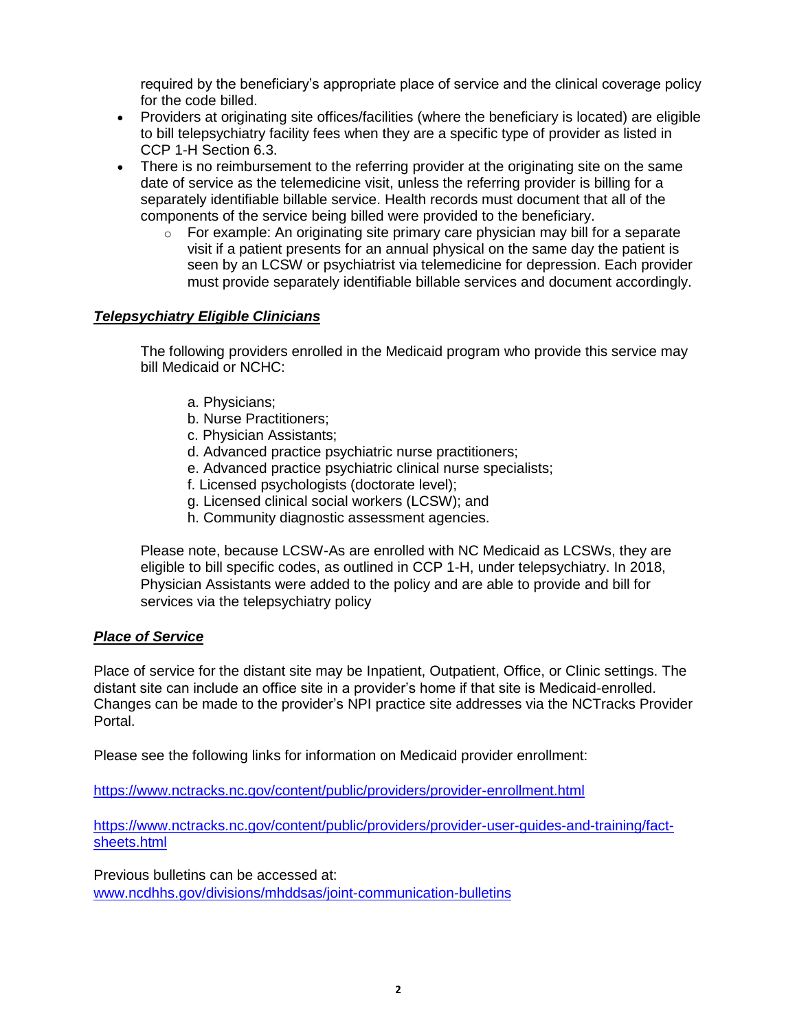required by the beneficiary's appropriate place of service and the clinical coverage policy for the code billed.

- Providers at originating site offices/facilities (where the beneficiary is located) are eligible to bill telepsychiatry facility fees when they are a specific type of provider as listed in CCP 1-H Section 6.3.
- There is no reimbursement to the referring provider at the originating site on the same date of service as the telemedicine visit, unless the referring provider is billing for a separately identifiable billable service. Health records must document that all of the components of the service being billed were provided to the beneficiary.
	- $\circ$  For example: An originating site primary care physician may bill for a separate visit if a patient presents for an annual physical on the same day the patient is seen by an LCSW or psychiatrist via telemedicine for depression. Each provider must provide separately identifiable billable services and document accordingly.

## *Telepsychiatry Eligible Clinicians*

The following providers enrolled in the Medicaid program who provide this service may bill Medicaid or NCHC:

- a. Physicians;
- b. Nurse Practitioners;
- c. Physician Assistants;
- d. Advanced practice psychiatric nurse practitioners;
- e. Advanced practice psychiatric clinical nurse specialists;
- f. Licensed psychologists (doctorate level);
- g. Licensed clinical social workers (LCSW); and
- h. Community diagnostic assessment agencies.

Please note, because LCSW-As are enrolled with NC Medicaid as LCSWs, they are eligible to bill specific codes, as outlined in CCP 1-H, under telepsychiatry. In 2018, Physician Assistants were added to the policy and are able to provide and bill for services via the telepsychiatry policy

## *Place of Service*

Place of service for the distant site may be Inpatient, Outpatient, Office, or Clinic settings. The distant site can include an office site in a provider's home if that site is Medicaid-enrolled. Changes can be made to the provider's NPI practice site addresses via the NCTracks Provider Portal.

Please see the following links for information on Medicaid provider enrollment:

<https://www.nctracks.nc.gov/content/public/providers/provider-enrollment.html>

[https://www.nctracks.nc.gov/content/public/providers/provider-user-guides-and-training/fact](https://www.nctracks.nc.gov/content/public/providers/provider-user-guides-and-training/fact-sheets.html)[sheets.html](https://www.nctracks.nc.gov/content/public/providers/provider-user-guides-and-training/fact-sheets.html)

Previous bulletins can be accessed at: [www.ncdhhs.gov/divisions/mhddsas/joint-communication-bulletins](http://www.ncdhhs.gov/divisions/mhddsas/joint-communication-bulletins)